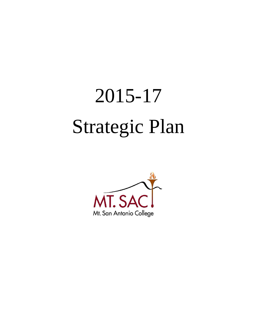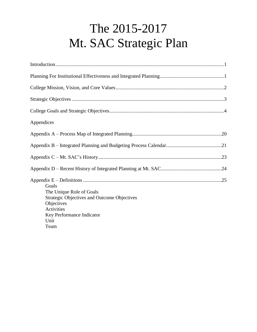# The 2015-2017 Mt. SAC Strategic Plan

| The 2015-2017                                                                                                                                                    |  |
|------------------------------------------------------------------------------------------------------------------------------------------------------------------|--|
| Mt. SAC Strategic Plan                                                                                                                                           |  |
|                                                                                                                                                                  |  |
|                                                                                                                                                                  |  |
|                                                                                                                                                                  |  |
|                                                                                                                                                                  |  |
|                                                                                                                                                                  |  |
| Appendices                                                                                                                                                       |  |
|                                                                                                                                                                  |  |
|                                                                                                                                                                  |  |
|                                                                                                                                                                  |  |
|                                                                                                                                                                  |  |
| Goals<br>The Unique Role of Goals<br><b>Strategic Objectives and Outcome Objectives</b><br>Objectives<br>Activities<br>Key Performance Indicator<br>Unit<br>Team |  |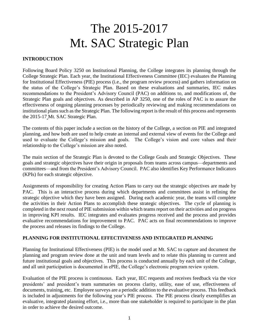# The 2015-2017 Mt. SAC Strategic Plan

#### <span id="page-2-0"></span>**INTRODUCTION**

 College Strategic Plan. Each year, the Institutional Effectiveness Committee (IEC) evaluates the Planning the status of the College's Strategic Plan. Based on these evaluations and summaries, IEC makes recommendations to the President's Advisory Council (PAC) on additions to, and modifications of, the Strategic Plan goals and objectives. As described in AP 3250, one of the roles of PAC is to assure the effectiveness of ongoing planning processes by periodically reviewing and making recommendations on institutional plans such as the Strategic Plan. The following report is the result of this process and represents Following Board Policy 3250 on Institutional Planning, the College integrates its planning through the for Institutional Effectiveness (PIE) process (i.e., the program review process) and gathers information on the 2015-17 Mt. SAC Strategic Plan.

 The contents of this paper include a section on the history of the College, a section on PIE and integrated used to evaluate the College's mission and goals. The College's vision and core values and their planning, and how both are used to help create an internal and external view of events for the College and relationship to the College's mission are also noted.

 The main section of the Strategic Plan is devoted to the College Goals and Strategic Objectives. These goals and strategic objectives have their origin in proposals from teams across campus—departments and committees—and from the President's Advisory Council. PAC also identifies Key Performance Indicators (KPIs) for each strategic objective.

 Assignments of responsibility for creating Action Plans to carry out the strategic objectives are made by PAC. This is an interactive process during which departments and committees assist in refining the strategic objective which they have been assigned. During each academic year, the teams will complete the activities in their Action Plans to accomplish these strategic objectives. The cycle of planning is in improving KPI results. IEC integrates and evaluates progress received and the process and provides 「Pit a Liber var a C N a max sa C e o o P I c L completed in the next round of PIE submission within which teams report on their activities and on progress evaluative recommendations for improvement to PAC. PAC acts on final recommendations to improve the process and releases its findings to the College.

#### **PLANNING FOR INSTITUTIONAL EFFECTIVENESS AND INTEGRATED PLANNING**

 Planning for Institutional Effectiveness (PIE) is the model used at Mt. SAC to capture and document the planning and program review done at the unit and team levels and to relate this planning to current and future institutional goals and objectives. This process is conducted annually by each unit of the College, and all unit participation is documented in ePIE, the College's electronic program review system.

 Evaluation of the PIE process is continuous. Each year, IEC requests and receives feedback via the vice presidents' and president's team summaries on process clarity, utility, ease of use, effectiveness of documents, training, etc. Employee surveys are a periodic addition to the evaluative process. This feedback is included in adjustments for the following year's PIE process. The PIE process clearly exemplifies an evaluative, integrated planning effort, i.e., more than one stakeholder is required to participate in the plan in order to achieve the desired outcome.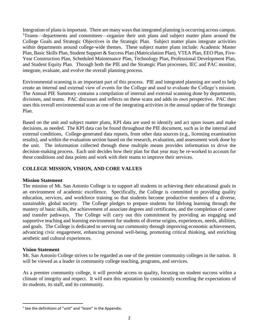<span id="page-3-0"></span> Integration of plans is important. There are many ways that integrated planning is occurring across campus. <sup>1</sup>Teams—departments and committees—organize their unit plans and subject matter plans around the College Goals and Strategic Objectives in the Strategic Plan. Subject matter plans integrate activities within departments around college-wide themes. These subject matter plans include: Academic Master Plan, Basic Skills Plan, Student Support & Success Plan (Matriculation Plan), VTEA Plan, EEO Plan, Five- Year Construction Plan, Scheduled Maintenance Plan, Technology Plan, Professional Development Plan, and Student Equity Plan. Through both the PIE and the Strategic Plan processes, IEC and PAC monitor, integrate, evaluate, and evolve the overall planning process.

 Environmental scanning is an important part of this process. PIE and integrated planning are used to help create an internal and external view of events for the College and used to evaluate the College's mission. The Annual PIE Summary contains a compilation of internal and external scanning done by departments, divisions, and teams. PAC discusses and reflects on these scans and adds its own perspective. PAC then uses this overall environmental scan as one of the integrating activities in the annual update of the Strategic Plan.

 Based on the unit and subject matter plans, KPI data are used to identify and act upon issues and make decisions, as needed. The KPI data can be found throughout the PIE document, such as in the internal and results), and within the evaluation section based on the research, evaluation, and assessment work done by the unit. The information collected through these multiple means provides information to drive the decision-making process. Each unit decides how their plan for that year may be re-worked to account for these conditions and data points and work with their teams to improve their services. external conditions, College-generated data reports, from other data sources (e.g., licensing examination

#### **COLLEGE MISSION, VISION, AND CORE VALUES**

#### **Mission Statement**

 The mission of Mt. San Antonio College is to support all students in achieving their educational goals in an environment of academic excellence. Specifically, the College is committed to providing quality education, services, and workforce training so that students become productive members of a diverse, sustainable, global society. The College pledges to prepare students for lifelong learning through the mastery of basic skills, the achievement of associate degrees and certificates, and the completion of career and transfer pathways. The College will carry out this commitment by providing an engaging and supportive teaching and learning environment for students of diverse origins, experiences, needs, abilities, and goals. The College is dedicated to serving our community through improving economic achievement, advancing civic engagement, enhancing personal well-being, promoting critical thinking, and enriching the definited in the definited data through<br>data throught integrals of the definited of the definited of the definited of the definited of the definited of the definited of the definited of the definited of the definited o aesthetic and cultural experiences.

#### **Vision Statement**

 $\overline{a}$ 

 Mt. San Antonio College strives to be regarded as one of the premier community colleges in the nation. It will be viewed as a leader in community college teaching, programs, and services.

 As a premier community college, it will provide access to quality, focusing on student success within a climate of integrity and respect. It will earn this reputation by consistently exceeding the expectations of its students, its staff, and its community.

 $1$  See the definitions of "unit" and "team" in the Appendix.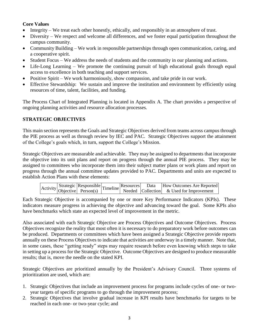#### **Core Values**

- Integrity We treat each other honestly, ethically, and responsibly in an atmosphere of trust.
- Diversity We respect and welcome all differences, and we foster equal participation throughout the campus community.
- Community Building We work in responsible partnerships through open communication, caring, and a cooperative spirit.
- Student Focus We address the needs of students and the community in our planning and actions.
- Life-Long Learning We promote the continuing pursuit of high educational goals through equal access to excellence in both teaching and support services.
- Positive Spirit We work harmoniously, show compassion, and take pride in our work.
- Effective Stewardship: We sustain and improve the institution and environment by efficiently using resources of time, talent, facilities, and funding.

 The Process Chart of Integrated Planning is located in Appendix A. The chart provides a perspective of ongoing planning activities and resource allocation processes.

#### **STRATEGIC OBJECTIVES**

 This main section represents the Goals and Strategic Objectives derived from teams across campus through the PIE process as well as through review by IEC and PAC. Strategic Objectives support the attainment of the College's goals which, in turn, support the College's Mission.

 Strategic Objectives are measurable and achievable. They may be assigned to departments that incorporate the objective into its unit plans and report on progress through the annual PIE process. They may be assigned to committees who incorporate them into their subject matter plans or work plans and report on progress through the annual committee updates provided to PAC. Departments and units are expected to establish Action Plans with these elements:

|  |  |  |  | $\begin{array}{ l l }\n \hline\n \end{array}$ Activity Strategic Responsible Timeline Resources Data How Outcomes Are Reported Debjective Person(s) Timeline Needed Collection & Used for Improvement |
|--|--|--|--|-------------------------------------------------------------------------------------------------------------------------------------------------------------------------------------------------------|
|  |  |  |  |                                                                                                                                                                                                       |

 Each Strategic Objective is accompanied by one or more Key Performance Indicators (KPIs). These indicators measure progress in achieving the objective and advancing toward the goal. Some KPIs also have benchmarks which state an expected level of improvement in the metric.

 Also associated with each Strategic Objective are Process Objectives and Outcome Objectives. Process Objectives recognize the reality that most often it is necessary to do preparatory work before outcomes can be produced. Departments or committees which have been assigned a Strategic Objective provide reports annually on these Process Objectives to indicate that activities are underway in a timely manner. Note that, in some cases, these "getting ready" steps may require research before even knowing which steps to take some cases, these<br>setting up a process<br>sults; that is, move<br>rategic Objectives<br>ioritization are used<br>Strategic Objectives in setting up a process for the Strategic Objective. Outcome Objectives are designed to produce measurable results; that is, move the needle on the stated KPI.

 Strategic Objectives are prioritized annually by the President's Advisory Council. Three systems of prioritization are used, which are:

- 1.Strategic Objectives that include an improvement process for programs include cycles of one- or twoyear targets of specific programs to go through the improvement process;
- 2.Strategic Objectives that involve gradual increase in KPI results have benchmarks for targets to be reached in each one- or two-year cycle; and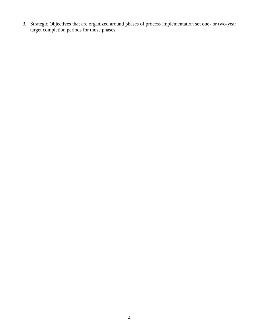<span id="page-5-0"></span>3. Strategic Objectives that are organized around phases of process implementation set one- or two-year target completion periods for those phases.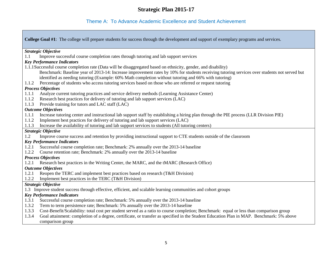#### Theme A: To Advance Academic Excellence and Student Achievement

 **College Goal #1**: The college will prepare students for success through the development and support of exemplary programs and services. Benchmark: Baseline year of 2013-14: Increase improvement rates by 10% for students receiving tutoring services over students not served but 1.1.2 Implement best practices for delivery of tutoring and lab support services (LAC) *Strategic Objective*  1.1 Improve successful course completion rates through tutoring and lab support services *Key Performance Indicators*  1.1.1Successful course completion rate (Data will be disaggregated based on ethnicity, gender, and disability) identified as needing tutoring (Example: 60% Math completion without tutoring and 66% with tutoring) 1.1.2 Percentage of students who access tutoring services based on those who are referred or request tutoring *Process Objectives*  1.1.1 Analyze current tutoring practices and service delivery methods (Learning Assistance Center) 1.1.2 Research best practices for delivery of tutoring and lab support services (LAC) 1.1.3 Provide training for tutors and LAC staff (LAC) *Outcome Objectives*  1.1.1 Increase tutoring center and instructional lab support staff by establishing a hiring plan through the PIE process (LLR Division PIE) 1.1.3 Increase the availability of tutoring and lab support services to students (All tutoring centers) *Strategic Objective*  1.2 Improve course success and retention by providing instructional support to CTE students outside of the classroom *Key Performance Indicators*  1.2.1 Successful course completion rate; Benchmark: 2% annually over the 2013-14 baseline 1.2.2 Course retention rate; Benchmark: 2% annually over the 2013-14 baseline *Process Objectives*  1.2.1 Research best practices in the Writing Center, the MARC, and the tMARC (Research Office) *Outcome Objectives*  1.2.1 Reopen the TERC and implement best practices based on research (T&H Division) 1.2.2 Implement best practices in the TERC (T&H Division) *Strategic Objective*  1.3 Improve student success through effective, efficient, and scalable learning communities and cohort groups *Key Performance Indicators*  1.3.1 Successful course completion rate; Benchmark: 5% annually over the 2013-14 baseline 1.3.2 Term to term persistence rate; Benchmark: 5% annually over the 2013-14 baseline 1.3.3 Cost-Benefit/Scalability: total cost per student served as a ratio to course completion; Benchmark: equal or less than comparison group 1.3.4 Goal attainment: completion of a degree, certificate, or transfer as specified in the Student Education Plan in MAP. Benchmark: 5% above comparison group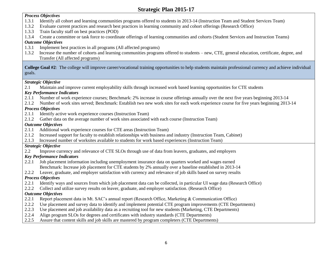#### *Process Objectives*

- 1.3.1 Identify all cohort and learning communities programs offered to students in 2013-14 (Instruction Team and Student Services Team)
- 1.3.2 Evaluate current practices and research best practices in learning community and cohort offerings (Research Office)
- 1.3.3 Train faculty staff on best practices (POD)
- 1.3.4 Create a committee or task force to coordinate offerings of learning communities and cohorts (Student Services and Instruction Teams)

#### *Outcome Objectives*

- 1.3.1 Implement best practices in all programs (All affected programs)
- 1.3.2 Increase the number of cohorts and learning communities programs offered to students new, CTE, general education, certificate, degree, and Transfer (All affected programs)

 **College Goal #2**: The college will improve career/vocational training opportunities to help students maintain professional currency and achieve individual goals.

#### *Strategic Objective*

2.1 Maintain and improve current employability skills through increased work based learning opportunities for CTE students

#### *Key Performance Indicators*

- 2.1.1 Number of work experience courses; Benchmark: 2% increase in course offerings annually over the next five years beginning 2013-14
- 2.1.2 Number of work sites served; Benchmark: Establish two new work sites for each work experience course for five years beginning 2013-14

#### *Process Objectives*

- 2.1.1 Identify active work experience courses (Instruction Team)
- 2.1.2 Gather data on the average number of work sites associated with each course (Instruction Team)

#### *Outcome Objectives*

- 2.1.1 Additional work experience courses for CTE areas (Instruction Team)
- 2.1.2 Increased support for faculty to establish relationships with business and industry (Instruction Team, Cabinet)
- 2.1.3 Increased number of worksites available to students for work based experiences (Instruction Team)

#### *Strategic Objective*

2.2 Improve currency and relevance of CTE SLOs through use of data from leavers, graduates, and employers

#### *Key Performance Indicators*

- 2.2.1 Job placement information including unemployment insurance data on quarters worked and wages earned Benchmark: Increase job placement for CTE students by 2% annually over a baseline established in 2013-14
- 2.2.2 Leaver, graduate, and employer satisfaction with currency and relevance of job skills based on survey results

#### *Process Objectives*

- 2.2.1 Identify ways and sources from which job placement data can be collected, in particular UI wage data (Research Office)
- 2.2.2 Collect and utilize survey results on leaver, graduate, and employer satisfaction. (Research Office)

#### *Outcome Objectives*

- 2.2.1 Report placement data in Mt. SAC's annual report (Research Office, Marketing & Communication Office)
- 2.2.2 Use placement and survey data to identify and implement potential CTE program improvements (CTE Departments)
- 2.2.3 Use placement and job availability data as a recruiting tool for new students (Marketing, CTE Departments)
- 2.2.4 Align program SLOs for degrees and certificates with industry standards (CTE Departments)
- 2.2.5 Assure that content skills and job skills are mastered by program completers (CTE Departments)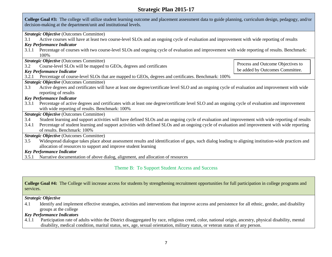| <b>Strategic Plan 2015-17</b>                                                                                                                                                                                               |                                   |  |
|-----------------------------------------------------------------------------------------------------------------------------------------------------------------------------------------------------------------------------|-----------------------------------|--|
| College Goal #3: The college will utilize student learning outcome and placement assessment data to guide planning, curriculum design, pedagogy, and/or<br>decision-making at the department/unit and institutional levels. |                                   |  |
| <b>Strategic Objective (Outcomes Committee)</b>                                                                                                                                                                             |                                   |  |
| Active courses will have at least two course-level SLOs and an ongoing cycle of evaluation and improvement with wide reporting of results<br>3.1                                                                            |                                   |  |
| <b>Key Performance Indicator</b>                                                                                                                                                                                            |                                   |  |
| Percentage of courses with two course-level SLOs and ongoing cycle of evaluation and improvement with wide reporting of results. Benchmark:<br>3.1.1                                                                        |                                   |  |
| 100\%                                                                                                                                                                                                                       |                                   |  |
| <b>Strategic Objective (Outcomes Committee)</b>                                                                                                                                                                             | Process and Outcome Objectives to |  |
| Course-level SLOs will be mapped to GEOs, degrees and certificates<br>3.2                                                                                                                                                   |                                   |  |
| <b>Key Performance Indicator</b>                                                                                                                                                                                            | be added by Outcomes Committee.   |  |
| Percentage of course-level SLOs that are mapped to GEOs, degrees and certificates. Benchmark: 100%<br>3.2.1                                                                                                                 |                                   |  |
| <b>Strategic Objective</b> (Outcomes Committee)                                                                                                                                                                             |                                   |  |
| Active degrees and certificates will have at least one degree/certificate level SLO and an ongoing cycle of evaluation and improvement with wide<br>3.3                                                                     |                                   |  |
| reporting of results                                                                                                                                                                                                        |                                   |  |
| <b>Key Performance Indicator</b>                                                                                                                                                                                            |                                   |  |
| Percentage of active degrees and certificates with at least one degree/certificate level SLO and an ongoing cycle of evaluation and improvement<br>3.3.1                                                                    |                                   |  |
| with wide reporting of results. Benchmark: 100%                                                                                                                                                                             |                                   |  |
| Strategic Objective (Outcomes Committee)                                                                                                                                                                                    |                                   |  |
| Student learning and support activities will have defined SLOs and an ongoing cycle of evaluation and improvement with wide reporting of results<br>3.4                                                                     |                                   |  |
| Percentage of student learning and support activities with defined SLOs and an ongoing cycle of evaluation and improvement with wide reporting<br>3.4.1                                                                     |                                   |  |
| of results. Benchmark: 100%                                                                                                                                                                                                 |                                   |  |
| Strategic Objective (Outcomes Committee)                                                                                                                                                                                    |                                   |  |
| Widespread dialogue takes place about assessment results and identification of gaps, such dialog leading to aligning institution-wide practices and<br>3.5                                                                  |                                   |  |
| allocation of resources to support and improve student learning                                                                                                                                                             |                                   |  |
| <b>Key Performance Indicator</b>                                                                                                                                                                                            |                                   |  |
| Narrative documentation of above dialog, alignment, and allocation of resources<br>3.5.1                                                                                                                                    |                                   |  |

#### Theme B: To Support Student Access and Success

**College Goal #4:** The College will increase access for students by strengthening recruitment opportunities for full participation in college programs and services.

*Strategic Objective* 

4.1 Identify and implement effective strategies, activities and interventions that improve access and persistence for all ethnic, gender, and disability groups at the college

#### *Key Performance Indicators*

4.1.1 Participation rate of adults within the District disaggregated by race, religious creed, color, national origin, ancestry, physical disability, mental disability, medical condition, marital status, sex, age, sexual orientation, military status, or veteran status of any person.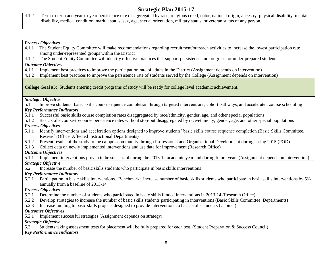4.1.2 Term-to-term and year-to-year persistence rate disaggregated by race, religious creed, color, national origin, ancestry, physical disability, mental disability, medical condition, marital status, sex, age, sexual orientation, military status, or veteran status of any person.

#### *Process Objectives*

- 4.1.1 The Student Equity Committee will make recommendations regarding recruitment/outreach activities to increase the lowest participation rate among under-represented groups within the District
- 4.1.2 The Student Equity Committee will identify effective practices that support persistence and progress for under-prepared students

#### *Outcome Objectives*

- 4.1.1 Implement best practices to improve the participation rate of adults in the District (Assignment depends on intervention)
- 4.1.2 Implement best practices to improve the persistence rate of students served by the College (Assignment depends on intervention)

**College Goal #5:** Students entering credit programs of study will be ready for college level academic achievement.

#### *Strategic Objective*

5.1 Improve students' basic skills course sequence completion through targeted interventions, cohort pathways, and accelerated course scheduling

#### *Key Performance Indicators*

- 5.1.1 Successful basic skills course completion rates disaggregated by race/ethnicity, gender, age, and other special populations
- 5.1.2 Basic skills course-to-course persistence rates without stop-out disaggregated by race/ethnicity, gender, age, and other special populations

#### *Process Objectives*

- 5.1.1 Identify interventions and acceleration options designed to improve students' basic skills course sequence completion (Basic Skills Committee, Research Office, Affected Instructional Departments)
- 5.1.2 Present results of the study to the campus community through Professional and Organizational Development during spring 2015 (POD)
- 5.1.3 Collect data on newly implemented interventions and use data for improvement (Research Office)

#### *Outcome Objectives*

- 5.1.1 Implement interventions proven to be successful during the 2013-14 academic year and during future years (Assignment depends on intervention) *Strategic Objective*
- 5.2 Increase the number of basic skills students who participate in basic skills interventions

#### *Key Performance Indicators*

 5.2.1 Participation in basic skills interventions. Benchmark: Increase number of basic skills students who participate in basic skills interventions by 5% annually from a baseline of 2013-14

#### *Process Objectives*

- 5.2.1 Determine the number of students who participated in basic skills funded interventions in 2013-14 (Research Office)
- 5.2.2 Develop strategies to increase the number of basic skills students participating in interventions (Basic Skills Committee; Departments)
- 5.2.3 Increase funding to basic skills projects designed to provide interventions to basic skills students (Cabinet)

#### *Outcomes Objectives*

5.2.1 Implement successful strategies (Assignment depends on strategy)

#### *Strategic Objective*

5.3 Students taking assessment tests for placement will be fully prepared for each test. (Student Preparation & Success Council)

#### *Key Performance Indicators*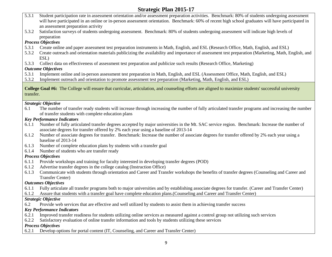- 5.3.1 Student participation rate in assessment orientation and/or assessment preparation activities. Benchmark: 80% of students undergoing assessment will have participated in an online or in-person assessment orientation. Benchmark: 60% of recent high school graduates will have participated in an assessment preparation activity
- 5.3.2 Satisfaction surveys of students undergoing assessment. Benchmark: 80% of students undergoing assessment will indicate high levels of preparation

#### *Process Objectives*

- 5.3.1 Create online and paper assessment test preparation instruments in Math, English, and ESL (Research Office, Math, English, and ESL)
- 5.3.2 Create outreach and orientation materials publicizing the availability and importance of assessment test preparation (Marketing, Math, English, and ESL)
- 5.3.3 Collect data on effectiveness of assessment test preparation and publicize such results (Research Office, Marketing)

#### *Outcome Objectives*

- 5.3.1 Implement online and in-person assessment test preparation in Math, English, and ESL (Assessment Office, Math, English, and ESL)
- 5.3.2 Implement outreach and orientation to promote assessment test preparation (Marketing, Math, English, and ESL)

**College Goal #6:** The College will ensure that curricular, articulation, and counseling efforts are aligned to maximize students' successful university transfer.

#### *Strategic Objective*

 6.1 The number of transfer ready students will increase through increasing the number of fully articulated transfer programs and increasing the number of transfer students with complete education plans

#### *Key Performance Indicators*

- 6.1.1 Number of fully articulated transfer degrees accepted by major universities in the Mt. SAC service region. Benchmark: Increase the number of associate degrees for transfer offered by 2% each year using a baseline of 2013-14
- 6.1.2 Number of associate degrees for transfer. Benchmark: Increase the number of associate degrees for transfer offered by 2% each year using a baseline of 2013-14
- 6.1.3 Number of complete education plans by students with a transfer goal
- 6.1.4 Number of students who are transfer ready

#### *Process Objectives*

- 6.1.1 Provide workshops and training for faculty interested in developing transfer degrees (POD)
- 6.1.2 Advertise transfer degrees in the college catalog (Instruction Office)
- 6.1.3 Communicate with students through orientation and Career and Transfer workshops the benefits of transfer degrees (Counseling and Career and Transfer Center)

#### *Outcomes Objectives*

- 6.1.1 Fully articulate all transfer programs both to major universities and by establishing associate degrees for transfer. (Career and Transfer Center)
- 6.1.2 Assure that students with a transfer goal have complete education plans.(Counseling and Career and Transfer Center)

#### *Strategic Objective*

6.2 Provide web services that are effective and well utilized by students to assist them in achieving transfer success

#### *Key Performance Indicators*

- 6.2.1 Improved transfer readiness for students utilizing online services as measured against a control group not utilizing such services
- 6.2.2 Satisfactory evaluation of online transfer information and tools by students utilizing these services

#### *Process Objectives*

6.2.1 Develop options for portal content (IT, Counseling, and Career and Transfer Center)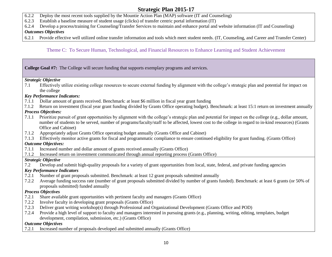- 6.2.2 Deploy the most recent tools supplied by the Mountie Action Plan (MAP) software (IT and Counseling)
- 6.2.3 Establish a baseline measure of student usage (clicks) of transfer centric portal information (IT)
- 6.2.4 Develop a process/training for Counseling/Transfer Services to maintain and enhance portal and website information (IT and Counseling)

#### *Outcomes Objectives*

6.2.1 Provide effective well utilized online transfer information and tools which meet student needs. (IT, Counseling, and Career and Transfer Center)

#### Theme C: To Secure Human, Technological, and Financial Resources to Enhance Learning and Student Achievement

|       | College Goal #7: The College will secure funding that supports exemplary programs and services.                                                                                                                                                                                                                                       |
|-------|---------------------------------------------------------------------------------------------------------------------------------------------------------------------------------------------------------------------------------------------------------------------------------------------------------------------------------------|
|       | <b>Strategic Objective</b>                                                                                                                                                                                                                                                                                                            |
| 7.1   | Effectively utilize existing college resources to secure external funding by alignment with the college's strategic plan and potential for impact on                                                                                                                                                                                  |
|       | the college                                                                                                                                                                                                                                                                                                                           |
|       | <b>Key Performance Indicators:</b>                                                                                                                                                                                                                                                                                                    |
| 7.1.1 | Dollar amount of grants received. Benchmark: at least \$6 million in fiscal year grant funding                                                                                                                                                                                                                                        |
| 7.1.2 | Return on investment (fiscal year grant funding divided by Grants Office operating budget). Benchmark: at least 15:1 return on investment annually                                                                                                                                                                                    |
|       | <b>Process Objectives:</b>                                                                                                                                                                                                                                                                                                            |
| 7.1.1 | Prioritize pursuit of grant opportunities by alignment with the college's strategic plan and potential for impact on the college (e.g., dollar amount,<br>number of students to be served, number of programs/faculty/staff to be affected, lowest cost to the college in regard to in-kind resources) (Grants<br>Office and Cabinet) |
| 7.1.2 | Appropriately adjust Grants Office operating budget annually (Grants Office and Cabinet)                                                                                                                                                                                                                                              |
| 7.1.3 | Effectively monitor active grants for fiscal and programmatic compliance to ensure continued eligibility for grant funding. (Grants Office)                                                                                                                                                                                           |
|       | <b>Outcome Objectives:</b>                                                                                                                                                                                                                                                                                                            |
| 7.1.1 | Increased number and dollar amount of grants received annually (Grants Office)                                                                                                                                                                                                                                                        |
| 7.1.2 | Increased return on investment communicated through annual reporting process (Grants Office)                                                                                                                                                                                                                                          |
|       | <b>Strategic Objective</b>                                                                                                                                                                                                                                                                                                            |
| 7.2   | Develop and submit high-quality proposals for a variety of grant opportunities from local, state, federal, and private funding agencies                                                                                                                                                                                               |
|       | <b>Key Performance Indicators</b>                                                                                                                                                                                                                                                                                                     |
| 7.2.1 | Number of grant proposals submitted. Benchmark: at least 12 grant proposals submitted annually                                                                                                                                                                                                                                        |
| 7.2.2 | Average funding success rate (number of grant proposals submitted divided by number of grants funded). Benchmark: at least 6 grants (or 50% of<br>proposals submitted) funded annually                                                                                                                                                |
|       | <b>Process Objectives</b>                                                                                                                                                                                                                                                                                                             |
| 7.2.1 | Share available grant opportunities with pertinent faculty and managers (Grants Office)                                                                                                                                                                                                                                               |
| 7.2.2 | Involve faculty in developing grant proposals (Grants Office)                                                                                                                                                                                                                                                                         |
| 7.2.3 | Deliver grant writing workshop(s) through Professional and Organizational Development (Grants Office and POD)                                                                                                                                                                                                                         |
| 7.2.4 | Provide a high level of support to faculty and managers interested in pursuing grants (e.g., planning, writing, editing, templates, budget<br>development, compilation, submission, etc.) (Grants Office)                                                                                                                             |
|       | <b>Outcome Objectives</b>                                                                                                                                                                                                                                                                                                             |
| 7.2.1 | Increased number of proposals developed and submitted annually (Grants Office)                                                                                                                                                                                                                                                        |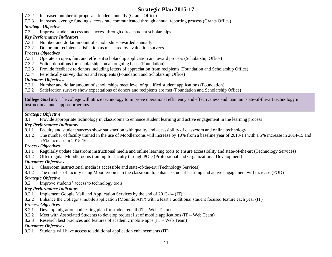7.2.2 Increased number of proposals funded annually (Grants Office)

7.2.3 Increased average funding success rate communicated through annual reporting process (Grants Office)

#### *Strategic Objective*

7.3 Improve student access and success through direct student scholarships

#### *Key Performance Indicators*

- 7.3.1 Number and dollar amount of scholarships awarded annually
- 7.3.2 Donor and recipient satisfaction as measured by evaluation surveys

#### *Process Objectives*

- 7.3.1 Operate an open, fair, and efficient scholarship application and award process (Scholarship Office)
- 7.3.2 Solicit donations for scholarships on an ongoing basis (Foundation)
- 7.3.3 Provide feedback to donors including letters of appreciation from recipients (Foundation and Scholarship Office)
- 7.3.4 Periodically survey donors and recipients (Foundation and Scholarship Office)

#### *Outcomes Objectives*

- 7.3.1 Number and dollar amount of scholarships meet level of qualified student applications (Foundation)
- 7.3.2 Satisfaction surveys show expectations of donors and recipients are met (Foundation and Scholarship Office)

**College Goal #8:** The college will utilize technology to improve operational efficiency and effectiveness and maintain state-of-the-art technology in instructional and support programs.

#### *Strategic Objective*

8.1 Provide appropriate technology in classrooms to enhance student learning and active engagement in the learning process

#### *Key Performance Indicators*

- 8.1.1 Faculty and student surveys show satisfaction with quality and accessibility of classroom and online technology
- a 5% increase in 2015-16 8.1.2 The number of faculty trained in the use of Moodlerooms will increase by 10% from a baseline year of 2013-14 with a 5% increase in 2014-15 and

#### *Process Objectives*

- 8.1.1 Regularly update classroom instructional media and online learning tools to ensure accessibility and state-of-the-art (Technology Services)
- 8.1.2 Offer regular Moodlerooms training for faculty through POD (Professional and Organizational Development)

#### *Outcomes Objectives*

- 8.1.1 Classroom instructional media is accessible and state-of-the-art (Technology Services)
- 8.1.2 The number of faculty using Moodlerooms in the classroom to enhance student learning and active engagement will increase (POD)

#### *Strategic Objective*

8.2 Improve students' access to technology tools

#### *Key Performance Indicators*

- 8.2.1 Implement Google Mail and Application Services by the end of 2013-14 (IT)
- 8.2.2 Enhance the College's mobile application (Mountie APP) with a least 1 additional student focused feature each year (IT)

# *Process Objectives*

- 8.2.1 Develop migration and testing plan for student email (IT Web Team)
- 8.2.2 Meet with Associated Students to develop request list of mobile applications (IT Web Team)
- 8.2.3 Research best practices and features of academic mobile apps (IT Web Team)

#### *Outcomes Objectives*

8.2.1 Students will have access to additional application enhancements (IT)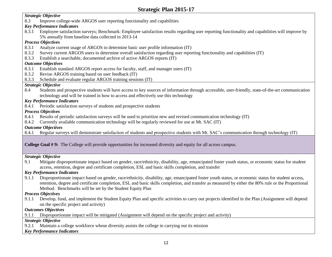#### *Strategic Objective*

8.3 Improve college-wide ARGOS user reporting functionality and capabilities

#### *Key Performance Indicators*

 8.3.1 Employee satisfaction surveys; Benchmark: Employee satisfaction results regarding user reporting functionality and capabilities will improve by 5% annually from baseline data collected in 2013-14

#### *Process Objectives*

- 8.3.1 Analyze current usage of ARGOS to determine basic user profile information (IT)
- 8.3.2 Survey current ARGOS users to determine overall satisfaction regarding user reporting functionality and capabilities (IT)
- 8.3.3 Establish a searchable, documented archive of active ARGOS reports (IT)

#### *Outcome Objectives*

- 8.3.1 Establish standard ARGOS report access for faculty, staff, and manager users (IT)
- 8.3.2 Revise ARGOS training based on user feedback (IT)
- 8.3.3 Schedule and evaluate regular ARGOS training sessions (IT)

#### *Strategic Objective*

8.4 Students and prospective students will have access to key sources of information through accessible, user-friendly, state-of-the-art communication technology and will be trained in how to access and effectively use this technology

#### *Key Performance Indicators*

8.4.1 Periodic satisfaction surveys of students and prospective students

#### *Process Objectives*

- 8.4.1 Results of periodic satisfaction surveys will be used to prioritize new and revised communication technology (IT)
- 8.4.2 Currently available communication technology will be regularly reviewed for use at Mt. SAC (IT)

#### *Outcome Objectives*

8.4.1 Regular surveys will demonstrate satisfaction of students and prospective students with Mt. SAC's communication through technology (IT)

#### **College Goal # 9:** The College will provide opportunities for increased diversity and equity for all across campus.

#### *Strategic Objective*

9.1 Mitigate disproportionate impact based on gender, race/ethnicity, disability, age, emancipated foster youth status, or economic status for student access, retention, degree and certificate completion, ESL and basic skills completion, and transfer

#### *Key Performance Indicators*

9.1.1 Disproportionate impact based on gender, race/ethnicity, disability, age, emancipated foster youth status, or economic status for student access, retention, degree and certificate completion, ESL and basic skills completion, and transfer as measured by either the 80% rule or the Proportional Method. Benchmarks will be set by the Student Equity Plan

#### *Process Objectives*

 9.1.1 Develop, fund, and implement the Student Equity Plan and specific activities to carry out projects identified in the Plan (Assignment will depend on the specific project and activity)

#### *Outcomes Objectives*

9.1.1 Disproportionate impact will be mitigated (Assignment will depend on the specific project and activity)

#### *Strategic Objective*

9.2.1 Maintain a college workforce whose diversity assists the college in carrying out its mission

#### *Key Performance Indicators*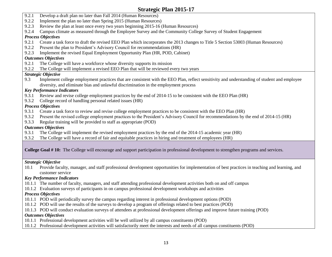- 9.2.1 Develop a draft plan no later than Fall 2014 (Human Resources)
- 9.2.2 Implement the plan no later than Spring 2015 (Human Resources)
- 9.2.3 Review the plan at least once every two years beginning 2015-16 (Human Resources)
- 9.2.4 Campus climate as measured through the Employee Survey and the Community College Survey of Student Engagement

#### *Process Objectives*

- 9.2.1 Create a task force to draft the revised EEO Plan which incorporates the 2013 changes to Title 5 Section 53003 (Human Resources)
- 9.2.2 Present the plan to President's Advisory Council for recommendations (HR)
- 9.2.3 Implement the revised Equal Employment Opportunity Plan (HR, POD, Cabinet)

#### *Outcomes Objectives*

- 9.2.1 The College will have a workforce whose diversity supports its mission
- 9.2.2 The College will implement a revised EEO Plan that will be reviewed every two years

#### *Strategic Objective*

9.3 Implement college employment practices that are consistent with the EEO Plan, reflect sensitivity and understanding of student and employee diversity, and eliminate bias and unlawful discrimination in the employment process

#### *Key Performance Indicators*

- 9.3.1 Review and revise college employment practices by the end of 2014-15 to be consistent with the EEO Plan (HR)
- 9.3.2 College record of handling personal related issues (HR)

#### *Process Objectives*

- 9.3.1 Create a task force to review and revise college employment practices to be consistent with the EEO Plan (HR)
- 9.3.2 Present the revised college employment practices to the President's Advisory Council for recommendations by the end of 2014-15 (HR)
- 9.3.3 Regular training will be provided to staff as appropriate (POD)

#### *Outcomes Objectives*

- 9.3.1 The College will implement the revised employment practices by the end of the 2014-15 academic year (HR)
- 9.3.2 The College will have a record of fair and equitable practices in hiring and treatment of employees (HR)

**College Goal # 10:** The College will encourage and support participation in professional development to strengthen programs and services.

#### *Strategic Objective*

 10.1 Provide faculty, manager, and staff professional development opportunities for implementation of best practices in teaching and learning, and customer service

#### *Key Performance Indicators*

- 10.1.1 The number of faculty, managers, and staff attending professional development activities both on and off campus
- 10.1.2 Evaluation surveys of participants in on campus professional development workshops and activities

#### *Process Objectives*

- 10.1.1 POD will periodically survey the campus regarding interest in professional development options (POD)
- 10.1.2 POD will use the results of the surveys to develop a program of offerings related to best practices (POD)
- 10.1.3 POD will conduct evaluation surveys of attendees at professional development offerings and improve future training (POD)

#### *Outcomes Objectives*

- 10.1.1 Professional development activities will be well utilized by all campus constituents (POD)
- 10.1.2 Professional development activities will satisfactorily meet the interests and needs of all campus constituents (POD)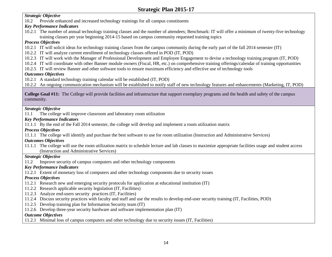#### *Strategic Objective*

10.2 Provide enhanced and increased technology trainings for all campus constituents

#### *Key Performance Indicators*

 10.2.1 The number of annual technology training classes and the number of attendees; Benchmark: IT will offer a minimum of twenty-five technology training classes per year beginning 2014-15 based on campus community requested training topics

#### *Process Objectives*

- 10.2.1 IT will solicit ideas for technology training classes from the campus community during the early part of the fall 2014 semester (IT)
- 10.2.2 IT will analyze current enrollment of technology classes offered in POD (IT, POD)
- 10.2.3 IT will work with the Manager of Professional Development and Employee Engagement to devise a technology training program (IT, POD)
- 10.2.4 IT will coordinate with other Banner module owners (Fiscal, HR, etc.) on comprehensive training offerings/calendar of training opportunities
- 10.2.5 IT will review Banner and other software tools to ensure maximum efficiency and effective use of technology tools

#### *Outcomes Objectives*

10.2.1 A standard technology training calendar will be established (IT, POD)

10.2.2 An ongoing communication mechanism will be established to notify staff of new technology features and enhancements (Marketing, IT, POD)

**College Goal #11:** The College will provide facilities and infrastructure that support exemplary programs and the health and safety of the campus community.

#### *Strategic Objective*

11.1 The college will improve classroom and laboratory room utilization

#### *Key Performance Indicators*

11.1.1 By the end of the Fall 2014 semester, the college will develop and implement a room utilization matrix

#### *Process Objectives*

11.1.1 The college will identify and purchase the best software to use for room utilization (Instruction and Administrative Services)

#### *Outcomes Objectives*

 11.1.1 The college will use the room utilization matrix to schedule lecture and lab classes to maximize appropriate facilities usage and student access (Instruction and Administrative Services)

#### *Strategic Objective*

11.2 Improve security of campus computers and other technology components

#### *Key Performance Indicators*

11.2.1 Extent of monetary loss of computers and other technology components due to security issues

#### *Process Objectives*

- 11.2.1 Research new and emerging security protocols for application at educational institution (IT)
- 11.2.2 Research applicable security legislation (IT, Facilities)
- 11.2.3 Analyze end-users security practices (IT, Facilities)
- 11.2.4 Discuss security practices with faculty and staff and use the results to develop end-user security training (IT, Facilities, POD)
- 11.2.5 Develop training plan for Information Security team (IT)
- 11.2.6 Develop three-year security hardware and software implementation plan (IT)

#### *Outcome Objectives*

11.2.1 Minimal loss of campus computers and other technology due to security issues (IT, Facilities)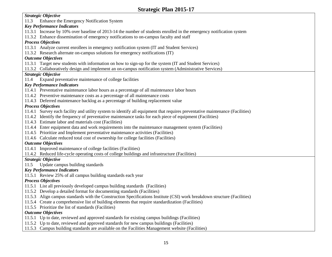#### *Strategic Objective*

11.3 Enhance the Emergency Notification System

#### *Key Performance Indicators*

- 11.3.1 Increase by 10% over baseline of 2013-14 the number of students enrolled in the emergency notification system
- 11.3.2 Enhance dissemination of emergency notifications to on-campus faculty and staff

#### *Process Objectives*

- 11.3.1 Analyze current enrollees in emergency notification system (IT and Student Services)
- 11.3.2 Research alternate on-campus solutions for emergency notifications (IT)

#### *Outcome Objectives*

- 11.3.1 Target new students with information on how to sign-up for the system (IT and Student Services)
- 11.3.2 Collaboratively design and implement an on-campus notification system (Administrative Services)

#### *Strategic Objective*

11.4 Expand preventative maintenance of college facilities

#### *Key Performance Indicators*

- 11.4.1 Preventative maintenance labor hours as a percentage of all maintenance labor hours
- 11.4.2 Preventive maintenance costs as a percentage of all maintenance costs
- 11.4.3 Deferred maintenance backlog as a percentage of building replacement value

#### *Process Objectives*

- 11.4.1 Survey each facility and utility system to identify all equipment that requires preventative maintenance (Facilities)
- 11.4.2 Identify the frequency of preventative maintenance tasks for each piece of equipment (Facilities)
- 11.4.3 Estimate labor and materials cost (Facilities)
- 11.4.4 Enter equipment data and work requirements into the maintenance management system (Facilities)
- 11.4.5 Prioritize and Implement preventative maintenance activities (Facilities)
- 11.4.6 Calculate reduced total cost of ownership for college facilities (Facilities)

#### *Outcome Objectives*

- 11.4.1 Improved maintenance of college facilities (Facilities)
- 11.4.2 Reduced life-cycle operating costs of college buildings and infrastructure (Facilities)

#### *Strategic Objective*

11.5 Update campus building standards

#### *Key Performance Indicators*

11.5.1 Review 25% of all campus building standards each year

#### *Process Objectives*

- 11.5.1 List all previously developed campus building standards (Facilities)
- 11.5.2 Develop a detailed format for documenting standards (Facilities)
- 11.5.3 Align campus standards with the Construction Specifications Institute (CSI) work breakdown structure (Facilities)
- 11.5.4 Create a comprehensive list of building elements that require standardization (Facilities)
- 11.5.5 Prioritize the list of standards (Facilities)

#### *Outcome Objectives*

- 11.5.1 Up to date, reviewed and approved standards for existing campus buildings (Facilities)
- 11.5.2 Up to date, reviewed and approved standards for new campus buildings (Facilities)
- 11.5.3 Campus building standards are available on the Facilities Management website (Facilities)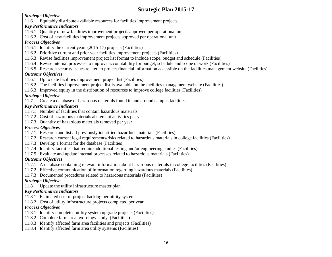#### *Strategic Objective*

11.6 Equitably distribute available resources for facilities improvement projects

#### *Key Performance Indicators*

- 11.6.1 Quantity of new facilities improvement projects approved per operational unit
- 11.6.2 Cost of new facilities improvement projects approved per operational unit

#### *Process Objectives*

- 11.6.1 Identify the current years (2015-17) projects (Facilities)
- 11.6.2 Prioritize current and prior year facilities improvement projects (Facilities)
- 11.6.3 Revise facilities improvement project list format to include scope, budget and schedule (Facilities)
- 11.6.4 Revise internal processes to improve accountability for budget, schedule and scope of work (Facilities)
- 11.6.5 Research security issues related to project financial information accessible on the facilities management website (Facilities)

#### *Outcome Objectives*

- 11.6.1 Up to date facilities improvement project list (Facilities)
- 11.6.2 The facilities improvement project list is available on the facilities management website (Facilities)
- 11.6.3 Improved equity in the distribution of resources to improve college facilities (Facilities)

#### *Strategic Objective*

11.7 Create a database of hazardous materials found in and around campus facilities

#### *Key Performance Indicators*

- 11.7.1 Number of facilities that contain hazardous materials
- 11.7.2 Cost of hazardous materials abatement activities per year
- 11.7.3 Quantity of hazardous materials removed per year

#### *Process Objectives*

- 11.7.1 Research and list all previously identified hazardous materials (Facilities)
- 11.7.2 Research current legal requirements/risks related to hazardous materials in college facilities (Facilities)
- 11.7.3 Develop a format for the database (Facilities)
- 11.7.4 Identify facilities that require additional testing and/or engineering studies (Facilities)
- 11.7.5 Evaluate and update internal processes related to hazardous materials (Facilities)

#### *Outcome Objectives*

- 11.7.1 A database containing relevant information about hazardous materials in college facilities (Facilities)
- 11.7.2 Effective communication of information regarding hazardous materials (Facilities)
- 11.7.3 Documented procedures related to hazardous materials (Facilities)

#### *Strategic Objective*

11.8 Update the utility infrastructure master plan

#### *Key Performance Indicators*

- 11.8.1 Estimated cost of project backlog per utility system
- 11.8.2 Cost of utility infrastructure projects completed per year

#### *Process Objectives*

- 11.8.1 Identify completed utility system upgrade projects (Facilities)
- 11.8.2 Complete farm area hydrology study (Facilities)
- 11.8.3 Identify affected farm area facilities and projects (Facilities)
- 11.8.4 Identify affected farm area utility systems (Facilities)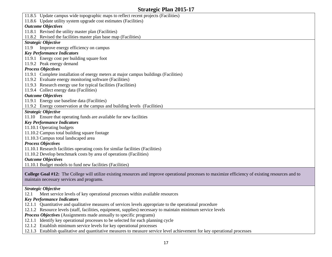11.8.5 Update campus wide topographic maps to reflect recent projects (Facilities) 11.8.6 Update utility system upgrade cost estimates (Facilities) *Outcome Objectives*  11.8.1 Revised the utility master plan (Facilities) 11.8.2 Revised the facilities master plan base map (Facilities) *Strategic Objective*  11.9 Improve energy efficiency on campus *Key Performance Indicators*  11.9.1 Energy cost per building square foot 11.9.2 Peak energy demand *Process Objectives*  11.9.1 Complete installation of energy meters at major campus buildings (Facilities) 11.9.2 Evaluate energy monitoring software (Facilities) 11.9.3 Research energy use for typical facilities (Facilities) 11.9.4 Collect energy data (Facilities) *Outcome Objectives*  11.9.1 Energy use baseline data (Facilities) 11.9.2 Energy conservation at the campus and building levels (Facilities) *Strategic Objective*  11.10 Ensure that operating funds are available for new facilities *Key Performance Indicators*  11.10.1 Operating budgets 11.10.2 Campus total building square footage 11.10.3 Campus total landscaped area *Process Objectives*  11.10.1 Research facilities operating costs for similar facilities (Facilities) 11.10.2 Develop benchmark costs by area of operations (Facilities) *Outcome Objectives*  11.10.1 Budget models to fund new facilities (Facilities) **College Goal #12:** The College will utilize existing resources and improve operational processes to maximize efficiency of existing resources and to maintain necessary services and programs.

#### *Strategic Objective*

12.1 Meet service levels of key operational processes within available resources

#### *Key Performance Indicators*

- 12.1.1 Quantitative and qualitative measures of services levels appropriate to the operational procedure
- 12.1.2 Resource levels (staff, facilities, equipment, supplies) necessary to maintain minimum service levels

*Process Objectives* (Assignments made annually to specific programs)

- 12.1.1 Identify key operational processes to be selected for each planning cycle
- 12.1.2 Establish minimum service levels for key operational processes
- 12.1.3 Establish qualitative and quantitative measures to measure service level achievement for key operational processes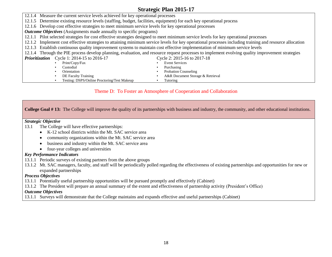12.1.1 Pilot selected strategies for cost effective strategies designed to meet minimum service levels for key operational processes 12.1.4 Measure the current service levels achieved for key operational processes 12.1.5 Determine existing resource levels (staffing, budget, facilities, equipment) for each key operational process 12.1.6 Develop cost effective strategies to meet minimum service levels for key operational processes *Outcome Objectives* (Assignments made annually to specific programs) 12.1.2 Implement cost effective strategies to attaining minimum service levels for key operational processes including training and resource allocation 12.1.3 Establish continuous quality improvement systems to maintain cost effective implementation of minimum service levels

12.1.4 Through the PIE process develop planning, evaluation, and resource request processes to implement evolving quality improvement strategies

| Prioritization | . .<br>Cycle 1: 2014-15 to 2016-17          | . .<br>$\tilde{\phantom{a}}$<br>Cycle 2: 2015-16 to 2017-18 |
|----------------|---------------------------------------------|-------------------------------------------------------------|
|                | Print/Copy/Fax                              | Event Services                                              |
|                | Custodial                                   | Purchasing                                                  |
|                | Orientation                                 | <b>Probation Counseling</b>                                 |
|                | DE Faculty Training                         | A&R Document Storage & Retrieval                            |
|                | Testing: DSPS/Online Proctoring/Test Makeup | Futoring                                                    |

#### Theme D: To Foster an Atmosphere of Cooperation and Collaboration

**College Goal # 13:** The College will improve the quality of its partnerships with business and industry, the community, and other educational institutions.

#### *Strategic Objective*

- 13.1 The College will have effective partnerships:
	- K-12 school districts within the Mt. SAC service area
	- community organizations within the Mt. SAC service area
	- business and industry within the Mt. SAC service area
	- four-year colleges and universities

#### *Key Performance Indicators*

- 13.1.1 Periodic surveys of existing partners from the above groups
- 13.1.2 Mt. SAC managers, faculty, and staff will be periodically polled regarding the effectiveness of existing partnerships and opportunities for new or expanded partnerships

#### *Process Objectives*

- 13.1.1 Potentially useful partnership opportunities will be pursued promptly and effectively (Cabinet)
- 13.1.2 The President will prepare an annual summary of the extent and effectiveness of partnership activity (President's Office)

#### *Outcome Objectives*

13.1.1 Surveys will demonstrate that the College maintains and expands effective and useful partnerships (Cabinet)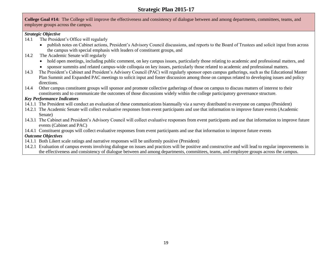# 

**Strategic Plan 2015-17**<br>College Goal #14: The College will improve the effectiveness and consistency of dialogue between and among departments, committees, teams, and employee groups across the campus.

#### *Strategic Objective*

- 14.1 The President's Office will regularly
	- publish notes on Cabinet actions, President's Advisory Council discussions, and reports to the Board of Trustees and solicit input from across  $\bullet$ the campus with special emphasis with leaders of constituent groups, and

- 14.2 The Academic Senate will regularly
	- hold open meetings, including public comment, on key campus issues, particularly those relating to academic and professional matters, and
	- sponsor summits and related campus-wide colloquia on key issues, particularly those related to academic and professional matters.
- 14.3 14.3The President's Cabinet and President's Advisory Council (PAC) will regularly sponsor open campus gatherings, such as the Educational Master Plan Summit and Expanded PAC meetings to solicit input and foster discussion among those on campus related to developing issues and policy directions.
- 14.4 14.4Other campus constituent groups will sponsor and promote collective gatherings of those on campus to discuss matters of interest to their constituents and to communicate the outcomes of those discussions widely within the college participatory governance structure.

#### *Key Performance Indicators*

- 14.1.1The President will conduct an evaluation of these communications biannually via a survey distributed to everyone on campus (President)
- 14.2.1The Academic Senate will collect evaluative responses from event participants and use that information to improve future events (Academic Senate)
- 14.3.1The Cabinet and President's Advisory Council will collect evaluative responses from event participants and use that information to improve future events (Cabinet and PAC)
- 14.4.1Constituent groups will collect evaluative responses from event participants and use that information to improve future events

#### *Outcome Objectives*

- 14.1.1 Both Likert scale ratings and narrative responses will be uniformly positive (President)
- 14.2.1 Evaluation of campus events involving dialogue on issues and practices will be positive and constructive and will lead to regular improvements in the effectiveness and consistency of dialogue between and among departments, committees, teams, and employee groups across the campus.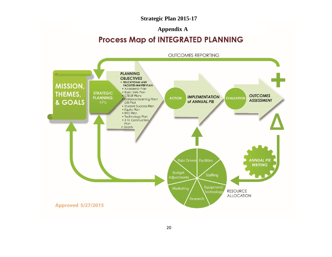# **Strategic Plan 2015-17<br>Appendix A**

# Process Map of INTEGRATED PLANNING

<span id="page-21-0"></span>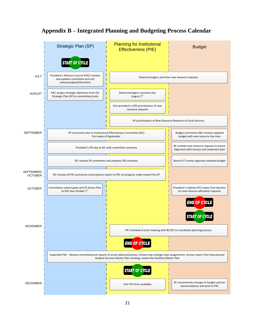

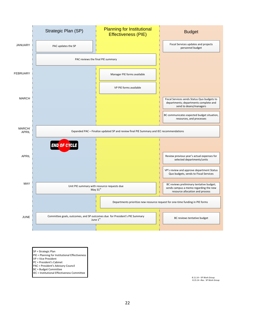

SP = Strategic Plan

- PIE = Planning for Institutional Effectiveness
- VP = Vice President
- PC = President's Cabinet
- PAC = President's Advisory Council
- BC = Budget Committee
- IEC = Institutional Effectiveness Committee

8.11.14 – SP Work Group<br>8.15.14 –Rev. SP Work Group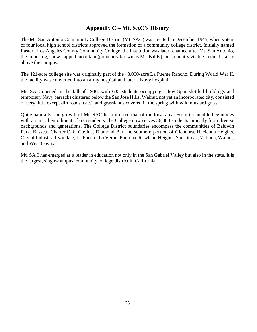# **Appendix C – Mt. SAC's History**

<span id="page-24-0"></span> The Mt. San Antonio Community College District (Mt. SAC) was created in December 1945, when voters of four local high school districts approved the formation of a community college district. Initially named Eastern Los Angeles County Community College, the institution was later renamed after Mt. San Antonio, the imposing, snow-capped mountain (popularly known as Mt. Baldy), prominently visible in the distance above the campus.

 The 421-acre college site was originally part of the 48,000-acre La Puente Rancho. During World War II, the facility was converted into an army hospital and later a Navy hospital.

 Mt. SAC opened in the fall of 1946, with 635 students occupying a few Spanish-tiled buildings and temporary Navy barracks clustered below the San Jose Hills. Walnut, not yet an incorporated city, consisted of very little except dirt roads, cacti, and grasslands covered in the spring with wild mustard grass.

 Quite naturally, the growth of Mt. SAC has mirrored that of the local area. From its humble beginnings with an initial enrollment of 635 students, the College now serves 56,000 students annually from diverse backgrounds and generations. The College District boundaries encompass the communities of Baldwin Park, Bassett, Charter Oak, Covina, Diamond Bar, the southern portion of Glendora, Hacienda Heights, City of Industry, Irwindale, La Puente, La Verne, Pomona, Rowland Heights, San Dimas, Valinda, Walnut, and West Covina.

 Mt. SAC has emerged as a leader in education not only in the San Gabriel Valley but also in the state. It is the largest, single-campus community college district in California.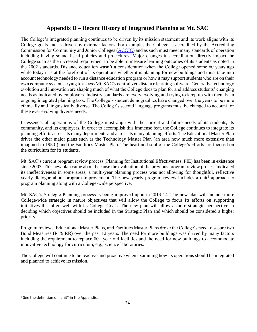# **Appendix D – Recent History of Integrated Planning at Mt. SAC**

<span id="page-25-0"></span> The College's integrated planning continues to be driven by its mission statement and its work aligns with its College goals and is driven by external factors. For example, the College is accredited by the Accrediting Commission for Community and Junior Colleges (ACCJC) and as such must meet many standards of operation including having sound fiscal policies and procedures. Major changes in accreditation directly impact the College such as the increased requirement to be able to measure learning outcomes of its students as noted in the 2002 standards. Distance education wasn't a consideration when the College opened some 60 years ago while today it is at the forefront of its operations whether it is planning for new buildings and must take into account technology needed to run a distance education program or how it may support students who are on their own computer systems trying to access Mt. SAC's centralized distance learning software. Generally, technology evolution and innovation are shaping much of what the College does to plan for and address students' changing needs as indicated by employers. Industry standards are every evolving and trying to keep up with them is an ongoing integrated planning task. The College's student demographics have changed over the years to be more ethnically and linguistically diverse. The College's second language programs must be changed to account for College's integrated planning continues to be driven by its mission<br>lege goals and is driven by external factors. For example, the Co<br>amission for Community and Junior Colleges (ACCJC) and as such<br>uding having sound fiscal these ever evolving diverse needs.

 In essence, all operations of the College must align with the current and future needs of its students, its community, and its employers. In order to accomplish this immense feat, the College continues to integrate its planning efforts across its many departments and across its many planning efforts. The Educational Master Plan drives the other major plans such as the Technology Master Plan (an area now much more extensive than imagined in 1950!) and the Facilities Master Plan. The heart and soul of the College's efforts are focused on the curriculum for its students.

 Mt. SAC's current program review process (Planning for Institutional Effectiveness, PIE) has been in existence since 2003. This new plan came about because the evaluation of the previous program review process indicated its ineffectiveness in some areas; a multi-year planning process was not allowing for thoughtful, reflective yearly dialogue about program improvement. The new yearly program review includes a unit<sup>2</sup> approach to program planning along with a College-wide perspective.

 Mt. SAC's Strategic Planning process is being improved upon in 2013-14. The new plan will include more College-wide strategic in nature objectives that will allow the College to focus its efforts on supporting initiatives that align well with its College Goals. The new plan will allow a more strategic perspective in deciding which objectives should be included in the Strategic Plan and which should be considered a higher current program review process (Planning for Institutional Ef. This new plan came about because the evaluation of the previewences in some areas; a multi-year planning process was realy rogres with a College-wide perspecti priority.

 Program reviews, Educational Master Plans, and Facilities Master Plans drove the College's need to secure two Bond Measures (R & RR) over the past 12 years. The need for more buildings was driven by many factors including the requirement to replace 60+ year old facilities and the need for new buildings to accommodate innovative technology for curriculum, e.g., science laboratories.

 The College will continue to be reactive and proactive when examining how its operations should be integrated and planned to achieve its mission.

 $\overline{\phantom{a}}$ 

 $2$  See the definition of "unit" in the Appendix.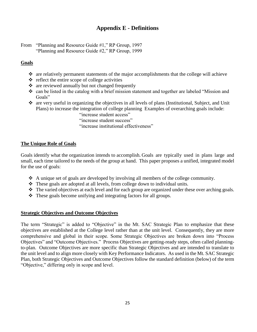#### **Appendix E - Definitions**

<span id="page-26-0"></span>From "Planning and Resource Guide #1," RP Group, 1997 "Planning and Resource Guide #2," RP Group, 1999

#### **Goals**

- $\hat{\mathbf{v}}$  are relatively permanent statements of the major accomplishments that the college will achieve
- $\triangle$  reflect the entire scope of college activities
- $\triangle$  are reviewed annually but not changed frequently
- $\cdot$  can be listed in the catalog with a brief mission statement and together are labeled "Mission and Goals"
- are very useful in organizing the objectives in all levels of plans (Institutional, Subject, and Unit Plans) to increase the integration of college planning Examples of overarching goals include:
	- "increase student access"
	- "increase student success"
	- "increase student access"<br>"increase student success"<br>"increase institutional effectiveness"

#### **The Unique Role of Goals**

 Goals identify what the organization intends to accomplish. Goals are typically used in plans large and small, each time tailored to the needs of the group at hand. This paper proposes a unified, integrated model for the use of goals:

- A unique set of goals are developed by involving all members of the college community.
- $\hat{\mathbf{\cdot}}$  These goals are adopted at all levels, from college down to individual units.
- \* The varied objectives at each level and for each group are organized under these over arching goals.
- $\triangleleft$  These goals become unifying and integrating factors for all groups.

#### **Strategic Objectives and Outcome Objectives**

 The term "Strategic" is added to "Objective" in the Mt. SAC Strategic Plan to emphasize that these objectives are established at the College level rather than at the unit level. Consequently, they are more comprehensive and global in their scope. Some Strategic Objectives are broken down into "Process to-plan. Outcome Objectives are more specific than Strategic Objectives and are intended to translate to the unit level and to align more closely with Key Performance Indicators. As used in the Mt. SAC Strategic Plan, both Strategic Objectives and Outcome Objectives follow the standard definition (below) of the term scope. Some<br>es." Process O<br>oore specific that<br>ly with Key Pe<br>Outcome Objec<br>and level. Objectives" and "Outcome Objectives." Process Objectives are getting-ready steps, often called planning-"Objective," differing only in scope and level.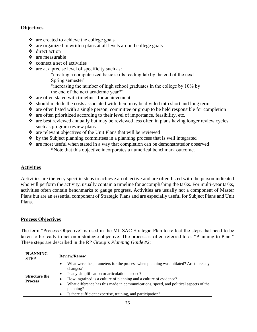#### **Objectives**

- $\triangleleft$  are created to achieve the college goals
- are organized in written plans at all levels around college goals
- direct action
- $\div$  are measurable
- $\triangleleft$  connect a set of activities
- $\triangle$  are at a precise level of specificity such as:

Spring semester" "creating a computerized basic skills reading lab by the end of the next

by the end of the next academic year\*" Spring semester"<br>"increasing the number of high school graduates in the college by 10% by<br>the end of the next academic year\*"

- $\triangle$  are often stated with timelines for achievement
- should include the costs associated with them may be divided into short and long term
- $\cdot$  are often listed with a single person, committee or group to be held responsible for completion
- $\bullet$  are often prioritized according to their level of importance, feasibility, etc.
- are best reviewed annually but may be reviewed less often in plans having longer review cycles such as program review plans
- \* are relevant objectives of the Unit Plans that will be reviewed
- $\triangleq$  by the Subject planning committees in a planning process that is well integrated
- outcome. \* are most useful when stated in a way that completion can be demonstratedor observed \*Note that this objective incorporates a numerical benchmark outcome.

#### **Activities**

 Activities are the very specific steps to achieve an objective and are often listed with the person indicated who will perform the activity, usually contain a timeline for accomplishing the tasks. For multi-year tasks, activities often contain benchmarks to gauge progress. Activities are usually not a component of Master Plans but are an essential component of Strategic Plans and are especially useful for Subject Plans and Unit Plans.

#### **Process Objectives**

 The term "Process Objective" is used in the Mt. SAC Strategic Plan to reflect the steps that need to be taken to be ready to act on a strategic objective. The process is often referred to as "Planning to Plan." These steps are described in the RP Group's *Planning Guide #2*:

| <b>PLANNING</b><br><b>STEP</b>         | <b>Review/Renew</b>                                                                                                                                                                                                                                                                                                                                                                       |
|----------------------------------------|-------------------------------------------------------------------------------------------------------------------------------------------------------------------------------------------------------------------------------------------------------------------------------------------------------------------------------------------------------------------------------------------|
| <b>Structure the</b><br><b>Process</b> | What were the parameters for the process when planning was initiated? Are there any<br>changes?<br>Is any simplification or articulation needed?<br>How ingrained is a culture of planning and a culture of evidence?<br>What difference has this made in communications, speed, and political aspects of the<br>planning?<br>Is there sufficient expertise, training, and participation? |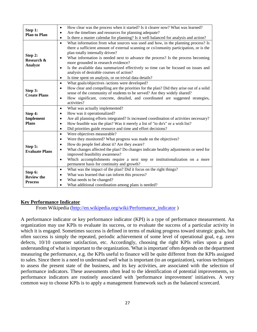|                                     | How clear was the process when it started? Is it clearer now? What was learned?<br>$\bullet$         |
|-------------------------------------|------------------------------------------------------------------------------------------------------|
| Step 1:<br><b>Plan to Plan</b>      | Are the timelines and resources for planning adequate?<br>$\bullet$                                  |
|                                     | Is there a master calendar for planning? Is it well balanced for analysis and action?<br>$\bullet$   |
|                                     | What information from what sources was used and how, in the planning process? Is<br>$\bullet$        |
|                                     | there a sufficient amount of external scanning or co1nmunity participation, or is the                |
| Step 2:                             | plan totally internally driven?                                                                      |
| Research &                          | What information is needed next to advance the process? Is the process becoming                      |
| <b>Analyze</b>                      | more grounded in research evidence?                                                                  |
|                                     | Is the available data summarized effectively so time can be focused on issues and<br>$\bullet$       |
|                                     | analysis of desirable courses of action?                                                             |
|                                     | Is time spent on analysis, or on trivial data details?<br>$\bullet$                                  |
|                                     | What goals/objectives /actions were developed?<br>$\bullet$                                          |
| Step 3:                             | How clear and compelling are the priorities for the plan? Did they arise out of a solid<br>$\bullet$ |
| <b>Create Plans</b>                 | sense of the community of students to be served? Are they widely shared?                             |
|                                     | How significant, concrete, detailed, and coordinated are suggested strategies,<br>$\bullet$          |
|                                     | activities?                                                                                          |
|                                     |                                                                                                      |
|                                     | What was actually implemented?<br>$\bullet$                                                          |
| Step 4:                             | How was it operationalized?<br>$\bullet$                                                             |
| Implement                           | Are all planning efforts integrated? Is increased coordination of activities necessary?<br>$\bullet$ |
| <b>Plans</b>                        | How feasible was the plan? Was it merely a list of "to do's" or a wish list?<br>$\bullet$            |
|                                     | Did priorities guide resource and time and effort decisions?<br>$\bullet$                            |
|                                     | Were objectives measurable?<br>$\bullet$                                                             |
|                                     | Were they monitored? What progress was made on the objectives?<br>$\bullet$                          |
|                                     | How do people feel about it? Are they aware?<br>$\bullet$                                            |
| Step 5:                             | What changes affected the plan? Do changes indicate healthy adjustments or need for                  |
| <b>Evaluate Plans</b>               | improved feasibility awareness?                                                                      |
|                                     | Which accomplishments require a next step or institutionalization on a more<br>$\bullet$             |
|                                     | permanent basis for continuity and growth?                                                           |
|                                     | What was the impact of the plan? Did it focus on the right things?<br>$\bullet$                      |
| Step 6:                             | What was learned that can inform this process?<br>$\bullet$                                          |
| <b>Review the</b><br><b>Process</b> | What needs to be changed?<br>$\bullet$<br>What additional coordination among plans is needed?        |

#### **Key Performance Indicator**

From Wikipedia (http://en.wikipedia.org/wiki/Performance\_indicator)

 A performance indicator or key performance indicator (KPI) is a type of [performance measurement.](http://en.wikipedia.org/wiki/Performance_measurement) An organization may use KPIs to evaluate its success, or to evaluate the success of a particular activity in often success is simply the repeated, periodic achievement of some level of operational goal, e.g. zero defects, 10/10 customer satisfaction, etc. Accordingly, choosing the right KPIs relies upon a good measuring the performance, e.g. the KPIs useful to finance will be quite different from the KPIs assigned to sales. Since there is a need to understand well what is important (to an organization), various techniques performance indicators are routinely associated with 'performance improvement' initiatives. A very which it is engaged. Sometimes success is defined in terms of making progress toward strategic goals, but understanding of what is important to the organization. 'What is important' often depends on the department to assess the present state of the business, and its key activities, are associated with the selection of performance indicators. These assessments often lead to the identification of potential improvements, so common way to choose KPIs is to apply a management framework such as the [balanced scorecard.](http://en.wikipedia.org/wiki/Balanced_scorecard)